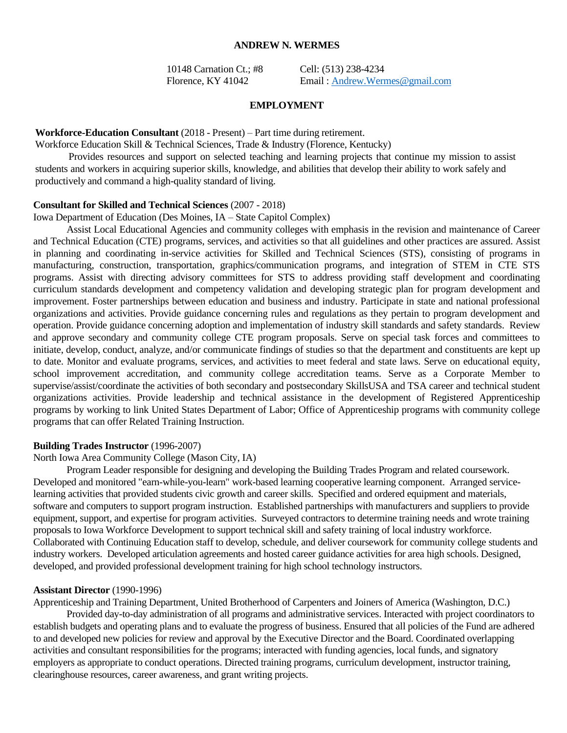### **ANDREW N. WERMES**

10148 Carnation Ct.; #8 Cell: (513) 238-4234

Florence, KY 41042 Email: [Andrew.Wermes@gmail.com](mailto:Andrew.Wermes@gmail.com)

#### **EMPLOYMENT**

### **Workforce-Education Consultant** (2018 - Present) – Part time during retirement.

Workforce Education Skill & Technical Sciences, Trade & Industry (Florence, Kentucky)

Provides resources and support on selected teaching and learning projects that continue my mission to assist students and workers in acquiring superior skills, knowledge, and abilities that develop their ability to work safely and productively and command a high-quality standard of living.

#### **Consultant for Skilled and Technical Sciences** (2007 - 2018)

Iowa Department of Education (Des Moines, IA – State Capitol Complex)

Assist Local Educational Agencies and community colleges with emphasis in the revision and maintenance of Career and Technical Education (CTE) programs, services, and activities so that all guidelines and other practices are assured. Assist in planning and coordinating in-service activities for Skilled and Technical Sciences (STS), consisting of programs in manufacturing, construction, transportation, graphics/communication programs, and integration of STEM in CTE STS programs. Assist with directing advisory committees for STS to address providing staff development and coordinating curriculum standards development and competency validation and developing strategic plan for program development and improvement. Foster partnerships between education and business and industry. Participate in state and national professional organizations and activities. Provide guidance concerning rules and regulations as they pertain to program development and operation. Provide guidance concerning adoption and implementation of industry skill standards and safety standards. Review and approve secondary and community college CTE program proposals. Serve on special task forces and committees to initiate, develop, conduct, analyze, and/or communicate findings of studies so that the department and constituents are kept up to date. Monitor and evaluate programs, services, and activities to meet federal and state laws. Serve on educational equity, school improvement accreditation, and community college accreditation teams. Serve as a Corporate Member to supervise/assist/coordinate the activities of both secondary and postsecondary SkillsUSA and TSA career and technical student organizations activities. Provide leadership and technical assistance in the development of Registered Apprenticeship programs by working to link United States Department of Labor; Office of Apprenticeship programs with community college programs that can offer Related Training Instruction.

## **Building Trades Instructor** (1996-2007)

North Iowa Area Community College (Mason City, IA)

Program Leader responsible for designing and developing the Building Trades Program and related coursework. Developed and monitored "earn-while-you-learn" work-based learning cooperative learning component. Arranged servicelearning activities that provided students civic growth and career skills. Specified and ordered equipment and materials, software and computers to support program instruction. Established partnerships with manufacturers and suppliers to provide equipment, support, and expertise for program activities. Surveyed contractors to determine training needs and wrote training proposals to Iowa Workforce Development to support technical skill and safety training of local industry workforce. Collaborated with Continuing Education staff to develop, schedule, and deliver coursework for community college students and industry workers. Developed articulation agreements and hosted career guidance activities for area high schools. Designed, developed, and provided professional development training for high school technology instructors.

### **Assistant Director** (1990-1996)

Apprenticeship and Training Department, United Brotherhood of Carpenters and Joiners of America (Washington, D.C.)

Provided day-to-day administration of all programs and administrative services. Interacted with project coordinators to establish budgets and operating plans and to evaluate the progress of business. Ensured that all policies of the Fund are adhered to and developed new policies for review and approval by the Executive Director and the Board. Coordinated overlapping activities and consultant responsibilities for the programs; interacted with funding agencies, local funds, and signatory employers as appropriate to conduct operations. Directed training programs, curriculum development, instructor training, clearinghouse resources, career awareness, and grant writing projects.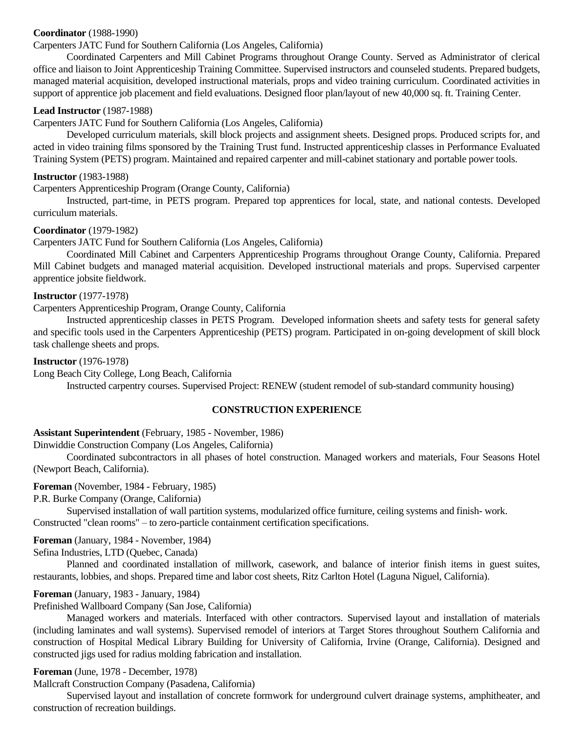# **Coordinator** (1988-1990)

# Carpenters JATC Fund for Southern California (Los Angeles, California)

Coordinated Carpenters and Mill Cabinet Programs throughout Orange County. Served as Administrator of clerical office and liaison to Joint Apprenticeship Training Committee. Supervised instructors and counseled students. Prepared budgets, managed material acquisition, developed instructional materials, props and video training curriculum. Coordinated activities in support of apprentice job placement and field evaluations. Designed floor plan/layout of new 40,000 sq. ft. Training Center.

### **Lead Instructor** (1987-1988)

Carpenters JATC Fund for Southern California (Los Angeles, California)

Developed curriculum materials, skill block projects and assignment sheets. Designed props. Produced scripts for, and acted in video training films sponsored by the Training Trust fund. Instructed apprenticeship classes in Performance Evaluated Training System (PETS) program. Maintained and repaired carpenter and mill-cabinet stationary and portable power tools.

#### **Instructor** (1983-1988)

Carpenters Apprenticeship Program (Orange County, California)

Instructed, part-time, in PETS program. Prepared top apprentices for local, state, and national contests. Developed curriculum materials.

### **Coordinator** (1979-1982)

Carpenters JATC Fund for Southern California (Los Angeles, California)

Coordinated Mill Cabinet and Carpenters Apprenticeship Programs throughout Orange County, California. Prepared Mill Cabinet budgets and managed material acquisition. Developed instructional materials and props. Supervised carpenter apprentice jobsite fieldwork.

# **Instructor** (1977-1978)

Carpenters Apprenticeship Program, Orange County, California

Instructed apprenticeship classes in PETS Program. Developed information sheets and safety tests for general safety and specific tools used in the Carpenters Apprenticeship (PETS) program. Participated in on-going development of skill block task challenge sheets and props.

### **Instructor** (1976-1978)

Long Beach City College, Long Beach, California

Instructed carpentry courses. Supervised Project: RENEW (student remodel of sub-standard community housing)

### **CONSTRUCTION EXPERIENCE**

### **Assistant Superintendent** (February, 1985 - November, 1986)

Dinwiddie Construction Company (Los Angeles, California)

Coordinated subcontractors in all phases of hotel construction. Managed workers and materials, Four Seasons Hotel (Newport Beach, California).

### **Foreman** (November, 1984 - February, 1985)

P.R. Burke Company (Orange, California)

Supervised installation of wall partition systems, modularized office furniture, ceiling systems and finish- work. Constructed "clean rooms" – to zero-particle containment certification specifications.

### **Foreman** (January, 1984 - November, 1984)

Sefina Industries, LTD (Quebec, Canada)

Planned and coordinated installation of millwork, casework, and balance of interior finish items in guest suites, restaurants, lobbies, and shops. Prepared time and labor cost sheets, Ritz Carlton Hotel (Laguna Niguel, California).

### **Foreman** (January, 1983 - January, 1984)

Prefinished Wallboard Company (San Jose, California)

Managed workers and materials. Interfaced with other contractors. Supervised layout and installation of materials (including laminates and wall systems). Supervised remodel of interiors at Target Stores throughout Southern California and construction of Hospital Medical Library Building for University of California, Irvine (Orange, California). Designed and constructed jigs used for radius molding fabrication and installation.

#### **Foreman** (June, 1978 - December, 1978)

Mallcraft Construction Company (Pasadena, California)

Supervised layout and installation of concrete formwork for underground culvert drainage systems, amphitheater, and construction of recreation buildings.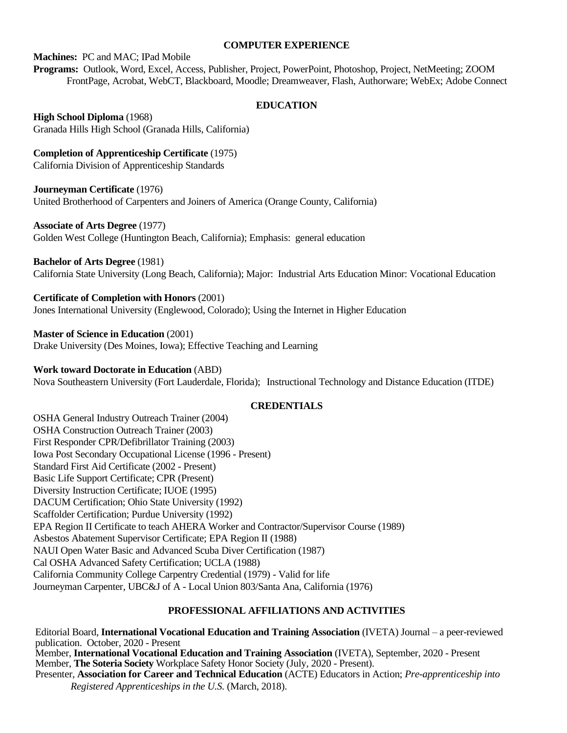### **COMPUTER EXPERIENCE**

#### **Machines:** PC and MAC; IPad Mobile

**Programs:** Outlook, Word, Excel, Access, Publisher, Project, PowerPoint, Photoshop, Project, NetMeeting; ZOOM FrontPage, Acrobat, WebCT, Blackboard, Moodle; Dreamweaver, Flash, Authorware; WebEx; Adobe Connect

### **EDUCATION**

**High School Diploma** (1968) Granada Hills High School (Granada Hills, California)

**Completion of Apprenticeship Certificate** (1975) California Division of Apprenticeship Standards

### **Journeyman Certificate** (1976)

United Brotherhood of Carpenters and Joiners of America (Orange County, California)

### **Associate of Arts Degree** (1977)

Golden West College (Huntington Beach, California); Emphasis: general education

**Bachelor of Arts Degree** (1981)

California State University (Long Beach, California); Major: Industrial Arts Education Minor: Vocational Education

### **Certificate of Completion with Honors** (2001)

Jones International University (Englewood, Colorado); Using the Internet in Higher Education

**Master of Science in Education** (2001)

Drake University (Des Moines, Iowa); Effective Teaching and Learning

#### **Work toward Doctorate in Education** (ABD)

Nova Southeastern University (Fort Lauderdale, Florida); Instructional Technology and Distance Education (ITDE)

#### **CREDENTIALS**

OSHA General Industry Outreach Trainer (2004) OSHA Construction Outreach Trainer (2003) First Responder CPR/Defibrillator Training (2003) Iowa Post Secondary Occupational License (1996 - Present) Standard First Aid Certificate (2002 - Present) Basic Life Support Certificate; CPR (Present) Diversity Instruction Certificate; IUOE (1995) DACUM Certification; Ohio State University (1992) Scaffolder Certification; Purdue University (1992) EPA Region II Certificate to teach AHERA Worker and Contractor/Supervisor Course (1989) Asbestos Abatement Supervisor Certificate; EPA Region II (1988) NAUI Open Water Basic and Advanced Scuba Diver Certification (1987) Cal OSHA Advanced Safety Certification; UCLA (1988) California Community College Carpentry Credential (1979) - Valid for life Journeyman Carpenter, UBC&J of A - Local Union 803/Santa Ana, California (1976)

### **PROFESSIONAL AFFILIATIONS AND ACTIVITIES**

Editorial Board, **International Vocational Education and Training Association** (IVETA) Journal – a peer-reviewed publication. October, 2020 - Present Member, **International Vocational Education and Training Association** (IVETA), September, 2020 - Present Member, **The Soteria Society** Workplace Safety Honor Society (July, 2020 - Present). Presenter, **Association for Career and Technical Education** (ACTE) Educators in Action; *Pre-apprenticeship into Registered Apprenticeships in the U.S.* (March, 2018).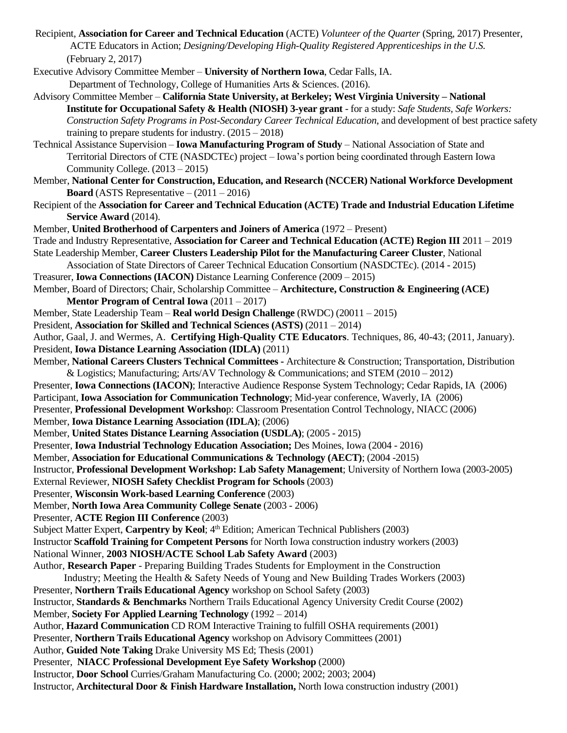- Recipient, **Association for Career and Technical Education** (ACTE) *Volunteer of the Quarter* (Spring, 2017) Presenter, ACTE Educators in Action; *Designing/Developing High-Quality Registered Apprenticeships in the U.S.* (February 2, 2017)
- Executive Advisory Committee Member **University of Northern Iowa**, Cedar Falls, IA. Department of Technology, College of Humanities Arts & Sciences. (2016).
- Advisory Committee Member **California State University, at Berkeley; West Virginia University – National Institute for Occupational Safety & Health (NIOSH) 3-year grant** - for a study: *Safe Students, Safe Workers: Construction Safety Programs in Post-Secondary Career Technical Education*, and development of best practice safety training to prepare students for industry.  $(2015 - 2018)$
- Technical Assistance Supervision **Iowa Manufacturing Program of Study** National Association of State and Territorial Directors of CTE (NASDCTEc) project – Iowa's portion being coordinated through Eastern Iowa Community College. (2013 – 2015)
- Member, **National Center for Construction, Education, and Research (NCCER) National Workforce Development Board** (ASTS Representative  $- (2011 - 2016)$ )
- Recipient of the **Association for Career and Technical Education (ACTE) Trade and Industrial Education Lifetime Service Award** (2014).
- Member, **United Brotherhood of Carpenters and Joiners of America** (1972 Present)
- Trade and Industry Representative, **Association for Career and Technical Education (ACTE) Region III** 2011 2019 State Leadership Member, **Career Clusters Leadership Pilot for the Manufacturing Career Cluster**, National
- Association of State Directors of Career Technical Education Consortium (NASDCTEc). (2014 2015) Treasurer, **Iowa Connections (IACON)** Distance Learning Conference (2009 – 2015)
- Member, Board of Directors; Chair, Scholarship Committee **Architecture, Construction & Engineering (ACE) Mentor Program of Central Iowa** (2011 – 2017)
- Member, State Leadership Team **Real world Design Challenge** (RWDC) (20011 2015)
- President, **Association for Skilled and Technical Sciences (ASTS)** (2011 2014)
- Author, Gaal, J. and Wermes, A. **Certifying High-Quality CTE Educators**. Techniques, 86, 40-43; (2011, January). President, **Iowa Distance Learning Association (IDLA)** (2011)
- Member, **National Careers Clusters Technical Committees -** Architecture & Construction; Transportation, Distribution & Logistics; Manufacturing; Arts/AV Technology & Communications; and STEM (2010 – 2012)
- Presenter, **Iowa Connections (IACON)**; Interactive Audience Response System Technology; Cedar Rapids, IA (2006)
- Participant, **Iowa Association for Communication Technology**; Mid-year conference, Waverly, IA (2006)
- Presenter, **Professional Development Worksho**p: Classroom Presentation Control Technology, NIACC (2006)
- Member, **Iowa Distance Learning Association (IDLA)**; (2006)
- Member, **United States Distance Learning Association (USDLA)**; (2005 2015)
- Presenter, **Iowa Industrial Technology Education Association;** Des Moines, Iowa (2004 2016)
- Member, **Association for Educational Communications & Technology (AECT)**; (2004 -2015)
- Instructor, **Professional Development Workshop: Lab Safety Management**; University of Northern Iowa (2003-2005)
- External Reviewer, **NIOSH Safety Checklist Program for Schools** (2003)
- Presenter, **Wisconsin Work-based Learning Conference** (2003)
- Member, **North Iowa Area Community College Senate** (2003 2006)
- Presenter, **ACTE Region III Conference** (2003)
- Subject Matter Expert, Carpentry by Keol; 4<sup>th</sup> Edition; American Technical Publishers (2003)
- Instructor **Scaffold Training for Competent Persons** for North Iowa construction industry workers (2003) National Winner, **2003 NIOSH/ACTE School Lab Safety Award** (2003)
- Author, **Research Paper** Preparing Building Trades Students for Employment in the Construction
- Industry; Meeting the Health & Safety Needs of Young and New Building Trades Workers (2003) Presenter, **Northern Trails Educational Agency** workshop on School Safety (2003)
- Instructor, **Standards & Benchmarks** Northern Trails Educational Agency University Credit Course (2002) Member, **Society For Applied Learning Technology** (1992 – 2014)
- Author, **Hazard Communication** CD ROM Interactive Training to fulfill OSHA requirements (2001)
- Presenter, **Northern Trails Educational Agency** workshop on Advisory Committees (2001)
- Author, **Guided Note Taking** Drake University MS Ed; Thesis (2001)
- Presenter, **NIACC Professional Development Eye Safety Workshop** (2000)
- Instructor, **Door School** Curries/Graham Manufacturing Co. (2000; 2002; 2003; 2004)
- Instructor, **Architectural Door & Finish Hardware Installation,** North Iowa construction industry (2001)